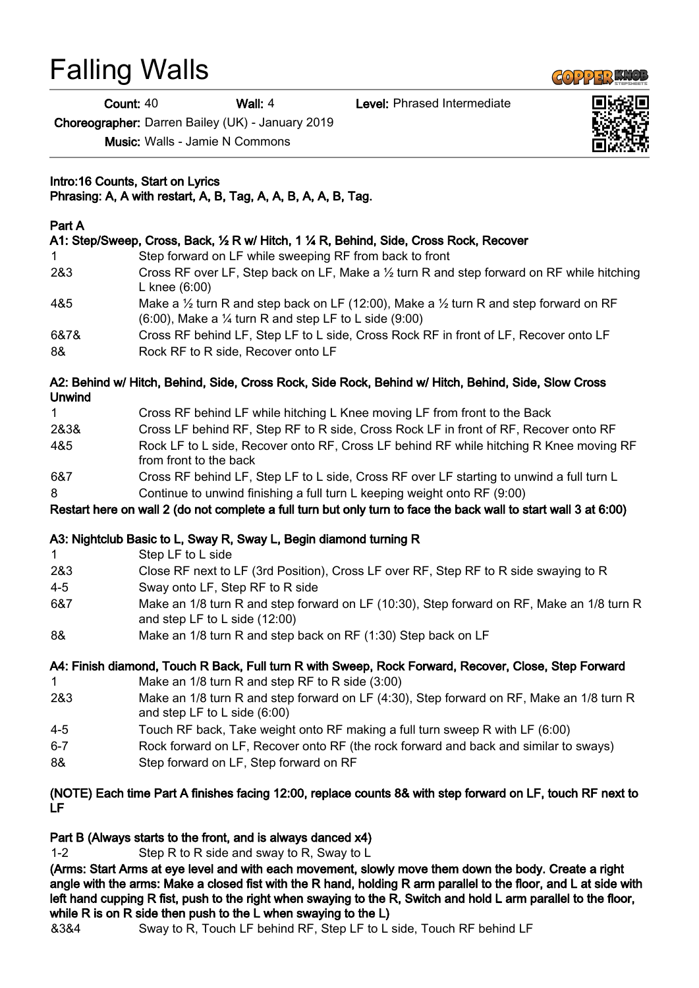# Falling Walls

Count: 40 Wall: 4 Level: Phrased Intermediate

Choreographer: Darren Bailey (UK) - January 2019

Music: Walls - Jamie N Commons

Intro:16 Counts, Start on Lyrics Phrasing: A, A with restart, A, B, Tag, A, A, B, A, A, B, Tag.

### Part A

|             | A1: Step/Sweep, Cross, Back, 1/2 R w/ Hitch, 1 1/4 R, Behind, Side, Cross Rock, Recover                                                                                              |
|-------------|--------------------------------------------------------------------------------------------------------------------------------------------------------------------------------------|
| $\mathbf 1$ | Step forward on LF while sweeping RF from back to front                                                                                                                              |
| 2&3         | Cross RF over LF, Step back on LF, Make a 1/2 turn R and step forward on RF while hitching<br>L knee $(6:00)$                                                                        |
| 4&5         | Make a $\frac{1}{2}$ turn R and step back on LF (12:00), Make a $\frac{1}{2}$ turn R and step forward on RF<br>$(6:00)$ , Make a $\frac{1}{4}$ turn R and step LF to L side $(9:00)$ |
| 6&7&<br>8&  | Cross RF behind LF, Step LF to L side, Cross Rock RF in front of LF, Recover onto LF<br>Rock RF to R side, Recover onto LF                                                           |

#### A2: Behind w/ Hitch, Behind, Side, Cross Rock, Side Rock, Behind w/ Hitch, Behind, Side, Slow Cross Unwind

| $\mathbf{1}$ | Cross RF behind LF while hitching L Knee moving LF from front to the Back                                        |
|--------------|------------------------------------------------------------------------------------------------------------------|
| 2&3&         | Cross LF behind RF, Step RF to R side, Cross Rock LF in front of RF, Recover onto RF                             |
| 4&5          | Rock LF to L side, Recover onto RF, Cross LF behind RF while hitching R Knee moving RF<br>from front to the back |
| 6&7          | Cross RF behind LF, Step LF to L side, Cross RF over LF starting to unwind a full turn L                         |
| 8            | Continue to unwind finishing a full turn L keeping weight onto RF (9:00)                                         |

Restart here on wall 2 (do not complete a full turn but only turn to face the back wall to start wall 3 at 6:00)

## A3: Nightclub Basic to L, Sway R, Sway L, Begin diamond turning R

| $\mathbf{1}$ | Step LF to L side                                                                                                            |
|--------------|------------------------------------------------------------------------------------------------------------------------------|
| 2&3          | Close RF next to LF (3rd Position), Cross LF over RF, Step RF to R side swaying to R                                         |
| $4 - 5$      | Sway onto LF, Step RF to R side                                                                                              |
| 6&7          | Make an 1/8 turn R and step forward on LF (10:30), Step forward on RF, Make an 1/8 turn R<br>and step LF to L side $(12:00)$ |
| 8&           | Make an 1/8 turn R and step back on RF (1:30) Step back on LF                                                                |

A4: Finish diamond, Touch R Back, Full turn R with Sweep, Rock Forward, Recover, Close, Step Forward

- 1 Make an 1/8 turn R and step RF to R side (3:00)
- 2&3 Make an 1/8 turn R and step forward on LF (4:30), Step forward on RF, Make an 1/8 turn R and step LF to L side (6:00)
- 4-5 Touch RF back, Take weight onto RF making a full turn sweep R with LF (6:00)
- 6-7 Rock forward on LF, Recover onto RF (the rock forward and back and similar to sways)
- 8& Step forward on LF, Step forward on RF

#### (NOTE) Each time Part A finishes facing 12:00, replace counts 8& with step forward on LF, touch RF next to LF

## Part B (Always starts to the front, and is always danced x4)

1-2 Step R to R side and sway to R, Sway to L

(Arms: Start Arms at eye level and with each movement, slowly move them down the body. Create a right angle with the arms: Make a closed fist with the R hand, holding R arm parallel to the floor, and L at side with left hand cupping R fist, push to the right when swaying to the R, Switch and hold L arm parallel to the floor, while R is on R side then push to the L when swaying to the L)